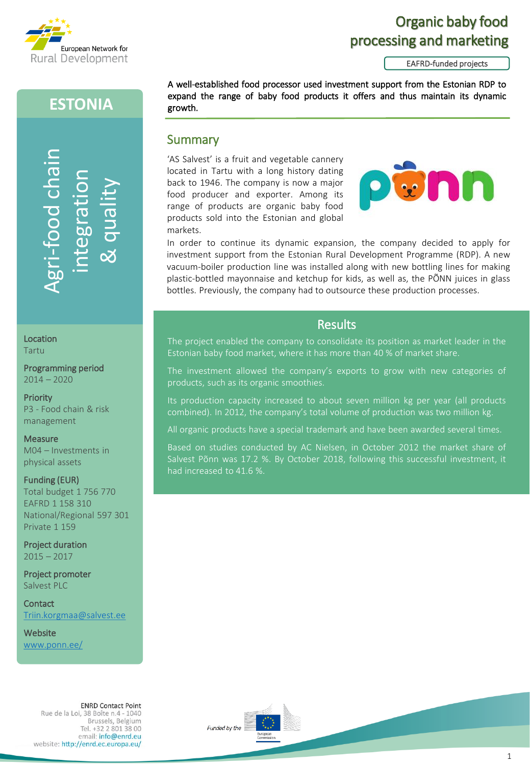

# Organic baby food processing and marketing

EAFRD-funded projects

# **ESTONIA**

growth.

markets.

Summary

'AS Salvest' is a fruit and vegetable cannery located in Tartu with a long history dating back to 1946. The company is now a major food producer and exporter. Among its range of products are organic baby food products sold into the Estonian and global

-food chain Agri-food chair & quality egra<sub>a</sub>

Location Tartu

Programming period 2014 – 2020

**Priority** P3 - Food chain & risk management

**Measure** M04 – Investments in physical assets

Funding (EUR) Total budget 1 756 770 EAFRD 1 158 310 National/Regional 597 301 Private 1 159 **Constant Constant Constant Constant Constant Constant Constant Constant Constant Constant Constant Constant Constant Constant Constant Constant Constant Constant Constant Constant Constant Constant Constant Constant Const** 

Project duration  $2015 - 2017$ 

Project promoter Salvest PLC

**Contact** [Triin.korgmaa@salvest.ee](mailto:Triin.korgmaa@salvest.ee)

**Website** www.ponn.ee/

> **ENRD Contact Point** Rue de la Loi, 38 Boîte n.4 - 1040 Brussels, Belgium Tel. +32 2 801 38 00 email: info@enrd.eu website: http://enrd.ec.europa.eu/





In order to continue its dynamic expansion, the company decided to apply for investment support from the Estonian Rural Development Programme (RDP). A new vacuum-boiler production line was installed along with new bottling lines for making plastic-bottled mayonnaise and ketchup for kids, as well as, the PÕNN juices in glass bottles. Previously, the company had to outsource these production processes.

A well-established food processor used investment support from the Estonian RDP to expand the range of baby food products it offers and thus maintain its dynamic

#### Results

The project enabled the company to consolidate its position as market leader in the

The investment allowed the company's exports to grow with new categories of products, such as its organic smoothies.

Its production capacity increased to about seven million kg per year (all products combined). In 2012, the company's total volume of production was two million kg.

All organic products have a special trademark and have been awarded several times.

Based on studies conducted by AC Nielsen, in October 2012 the market share of Salvest Põnn was 17.2 %. By October 2018, following this successful investment, it had increased to 41.6 %.